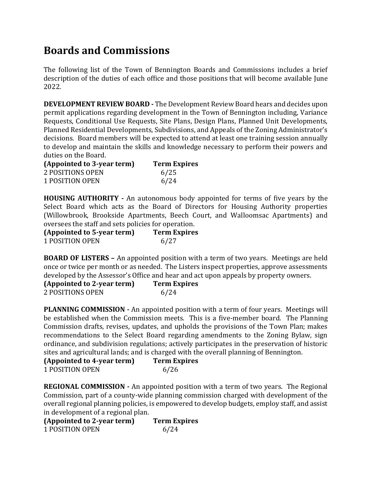## Boards and Commissions

The following list of the Town of Bennington Boards and Commissions includes a brief description of the duties of each office and those positions that will become available June 2022.

DEVELOPMENT REVIEW BOARD - The Development Review Board hears and decides upon permit applications regarding development in the Town of Bennington including, Variance Requests, Conditional Use Requests, Site Plans, Design Plans, Planned Unit Developments, Planned Residential Developments, Subdivisions, and Appeals of the Zoning Administrator's decisions. Board members will be expected to attend at least one training session annually to develop and maintain the skills and knowledge necessary to perform their powers and duties on the Board.

| (Appointed to 3-year term) | <b>Term Expires</b> |
|----------------------------|---------------------|
| 2 POSITIONS OPEN           | 6/25                |
| 1 POSITION OPEN            | 6/24                |

HOUSING AUTHORITY - An autonomous body appointed for terms of five years by the Select Board which acts as the Board of Directors for Housing Authority properties (Willowbrook, Brookside Apartments, Beech Court, and Walloomsac Apartments) and oversees the staff and sets policies for operation.

| (Appointed to 5-year term) | <b>Term Expires</b> |
|----------------------------|---------------------|
| <b>1 POSITION OPEN</b>     | 6/27                |

BOARD OF LISTERS – An appointed position with a term of two years. Meetings are held once or twice per month or as needed. The Listers inspect properties, approve assessments developed by the Assessor's Office and hear and act upon appeals by property owners.

| (Appointed to 2-year term) | <b>Term Expires</b> |
|----------------------------|---------------------|
| 2 POSITIONS OPEN           | 6/24                |

PLANNING COMMISSION - An appointed position with a term of four years. Meetings will be established when the Commission meets. This is a five-member board. The Planning Commission drafts, revises, updates, and upholds the provisions of the Town Plan; makes recommendations to the Select Board regarding amendments to the Zoning Bylaw, sign ordinance, and subdivision regulations; actively participates in the preservation of historic sites and agricultural lands; and is charged with the overall planning of Bennington.

| (Appointed to 4-year term) | <b>Term Expires</b> |
|----------------------------|---------------------|
| <b>1 POSITION OPEN</b>     | 6/26                |

REGIONAL COMMISSION - An appointed position with a term of two years. The Regional Commission, part of a county-wide planning commission charged with development of the overall regional planning policies, is empowered to develop budgets, employ staff, and assist in development of a regional plan.

(Appointed to 2-year term) Term Expires 1 POSITION OPEN 6/24